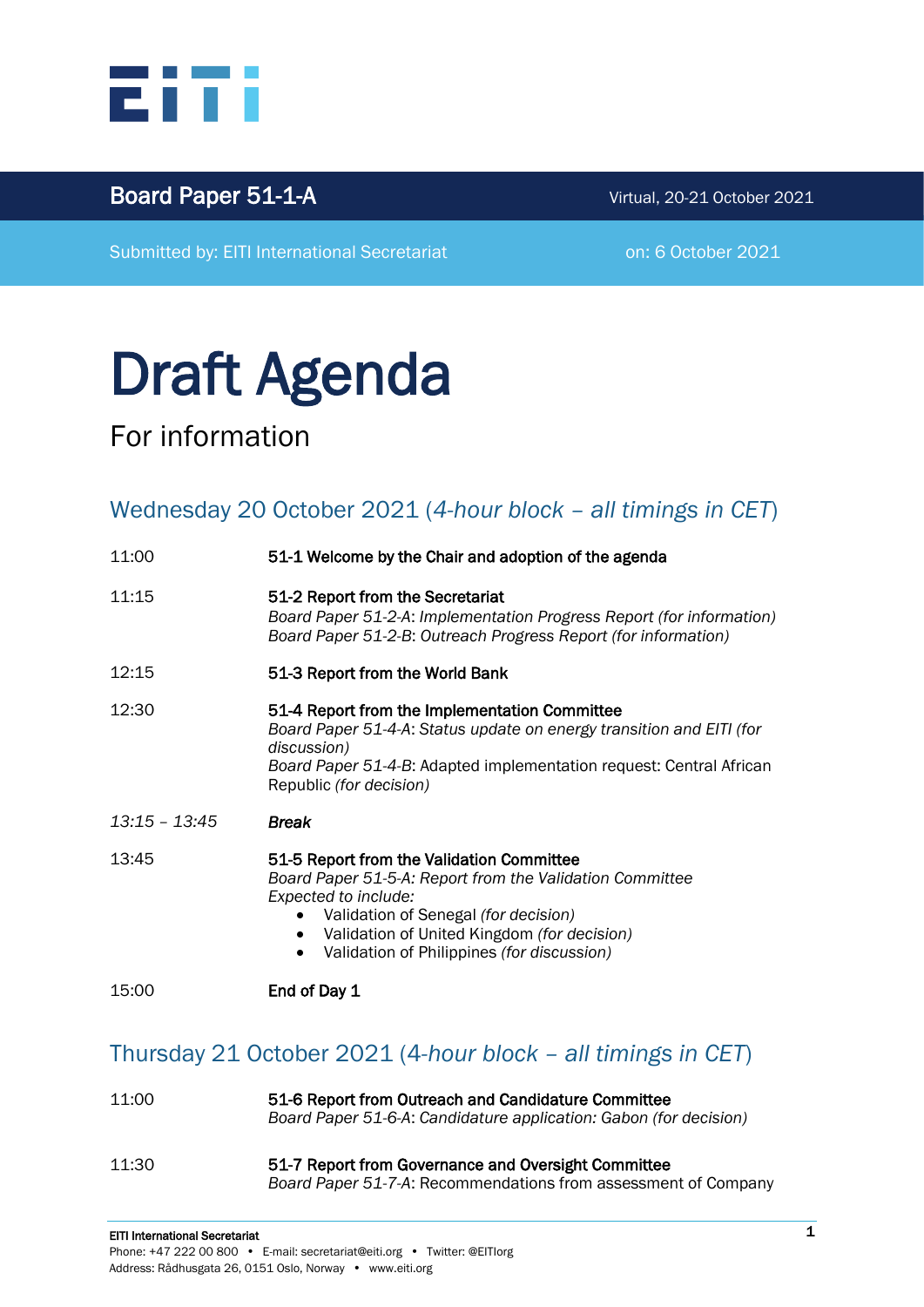

## Board Paper 51-1-A Virtual, 20-21 October <sup>2021</sup>

Submitted by: EITI International Secretariat **on: 6 October 2021** 

# Draft Agenda

For information

# Wednesday 20 October 2021 (*4-hour block – all timings in CET*)

| 11:00           | 51-1 Welcome by the Chair and adoption of the agenda                                                                                                                                                                                                                            |
|-----------------|---------------------------------------------------------------------------------------------------------------------------------------------------------------------------------------------------------------------------------------------------------------------------------|
| 11:15           | 51-2 Report from the Secretariat<br>Board Paper 51-2-A: Implementation Progress Report (for information)<br>Board Paper 51-2-B: Outreach Progress Report (for information)                                                                                                      |
| 12:15           | 51-3 Report from the World Bank                                                                                                                                                                                                                                                 |
| 12:30           | 51-4 Report from the Implementation Committee<br>Board Paper 51-4-A: Status update on energy transition and EITI (for<br>discussion)<br>Board Paper 51-4-B: Adapted implementation request: Central African<br>Republic (for decision)                                          |
| $13:15 - 13:45$ | <b>Break</b>                                                                                                                                                                                                                                                                    |
| 13:45           | 51-5 Report from the Validation Committee<br>Board Paper 51-5-A: Report from the Validation Committee<br>Expected to include:<br>Validation of Senegal (for decision)<br>Validation of United Kingdom (for decision)<br>Validation of Philippines (for discussion)<br>$\bullet$ |
| 15:00           | End of Day 1                                                                                                                                                                                                                                                                    |

### Thursday 21 October 2021 (4*-hour block – all timings in CET*)

| 11:00 | 51-6 Report from Outreach and Candidature Committee<br>Board Paper 51-6-A: Candidature application: Gabon (for decision) |
|-------|--------------------------------------------------------------------------------------------------------------------------|
| 11:30 | 51-7 Report from Governance and Oversight Committee<br>Board Paper 51-7-A: Recommendations from assessment of Company    |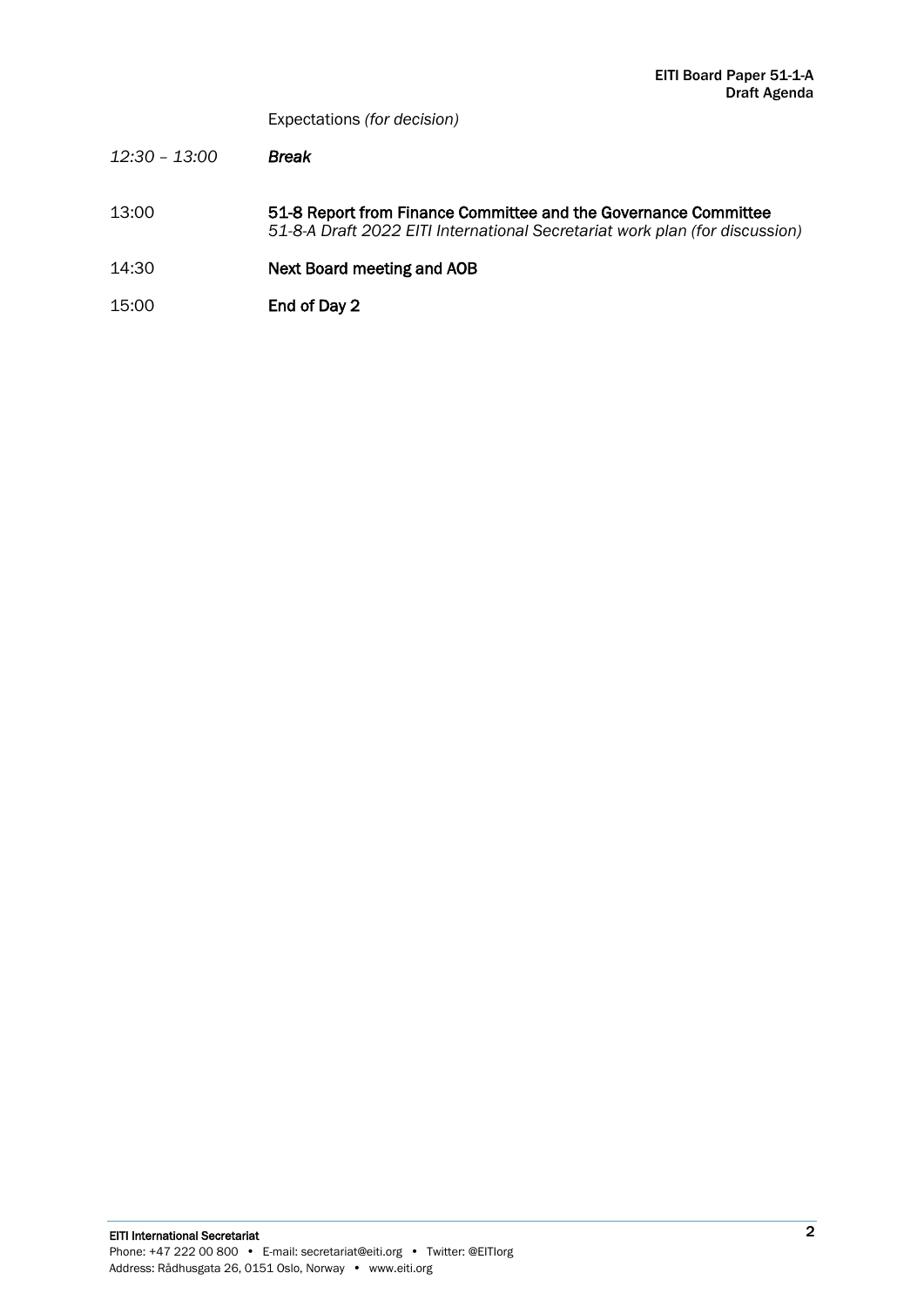Expectations *(for decision)*

- *12:30 – 13:00 Break*
- 13:00 51-8 Report from Finance Committee and the Governance Committee *51-8-A Draft 2022 EITI International Secretariat work plan (for discussion)*
- 14:30 Next Board meeting and AOB
- 15:00 End of Day 2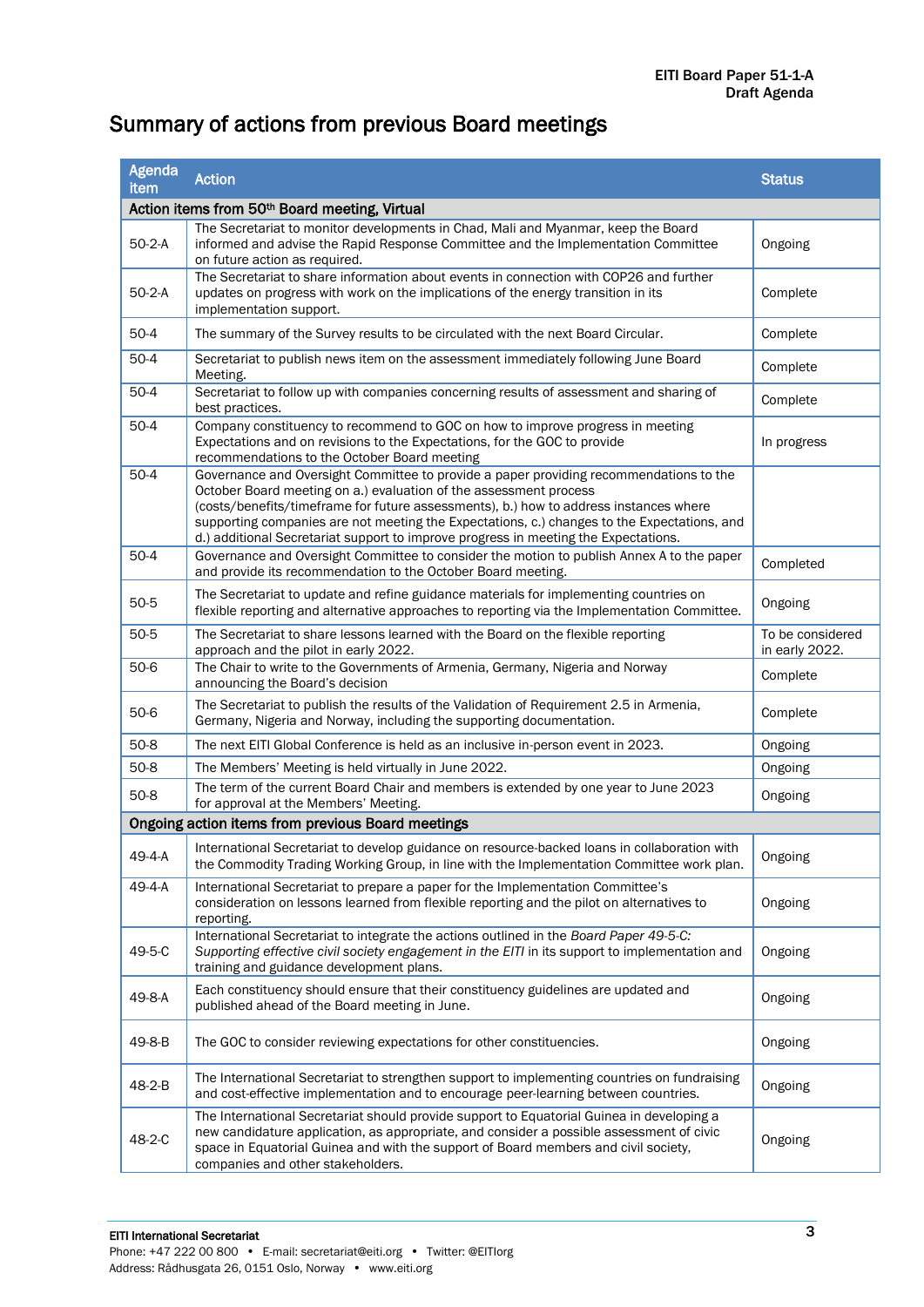# Summary of actions from previous Board meetings

| <b>Agenda</b><br>item                             | <b>Action</b>                                                                                                                                                                                                                                                                                                                                                                                                                              | <b>Status</b>                      |  |  |
|---------------------------------------------------|--------------------------------------------------------------------------------------------------------------------------------------------------------------------------------------------------------------------------------------------------------------------------------------------------------------------------------------------------------------------------------------------------------------------------------------------|------------------------------------|--|--|
|                                                   | Action items from 50th Board meeting, Virtual                                                                                                                                                                                                                                                                                                                                                                                              |                                    |  |  |
| $50-2-A$                                          | The Secretariat to monitor developments in Chad, Mali and Myanmar, keep the Board<br>informed and advise the Rapid Response Committee and the Implementation Committee<br>on future action as required.                                                                                                                                                                                                                                    | Ongoing                            |  |  |
| $50-2-A$                                          | The Secretariat to share information about events in connection with COP26 and further<br>updates on progress with work on the implications of the energy transition in its<br>implementation support.                                                                                                                                                                                                                                     | Complete                           |  |  |
| $50-4$                                            | The summary of the Survey results to be circulated with the next Board Circular.                                                                                                                                                                                                                                                                                                                                                           | Complete                           |  |  |
| $50-4$                                            | Secretariat to publish news item on the assessment immediately following June Board<br>Complete<br>Meeting.                                                                                                                                                                                                                                                                                                                                |                                    |  |  |
| $50-4$                                            | Secretariat to follow up with companies concerning results of assessment and sharing of<br>Complete<br>best practices.                                                                                                                                                                                                                                                                                                                     |                                    |  |  |
| $50-4$                                            | Company constituency to recommend to GOC on how to improve progress in meeting<br>Expectations and on revisions to the Expectations, for the GOC to provide<br>In progress<br>recommendations to the October Board meeting                                                                                                                                                                                                                 |                                    |  |  |
| $50-4$                                            | Governance and Oversight Committee to provide a paper providing recommendations to the<br>October Board meeting on a.) evaluation of the assessment process<br>(costs/benefits/timeframe for future assessments), b.) how to address instances where<br>supporting companies are not meeting the Expectations, c.) changes to the Expectations, and<br>d.) additional Secretariat support to improve progress in meeting the Expectations. |                                    |  |  |
| $50-4$                                            | Governance and Oversight Committee to consider the motion to publish Annex A to the paper<br>and provide its recommendation to the October Board meeting.                                                                                                                                                                                                                                                                                  | Completed                          |  |  |
| $50 - 5$                                          | The Secretariat to update and refine guidance materials for implementing countries on<br>flexible reporting and alternative approaches to reporting via the Implementation Committee.                                                                                                                                                                                                                                                      | Ongoing                            |  |  |
| $50 - 5$                                          | The Secretariat to share lessons learned with the Board on the flexible reporting<br>approach and the pilot in early 2022.                                                                                                                                                                                                                                                                                                                 | To be considered<br>in early 2022. |  |  |
| $50-6$                                            | The Chair to write to the Governments of Armenia, Germany, Nigeria and Norway<br>announcing the Board's decision                                                                                                                                                                                                                                                                                                                           | Complete                           |  |  |
| $50-6$                                            | The Secretariat to publish the results of the Validation of Requirement 2.5 in Armenia,<br>Germany, Nigeria and Norway, including the supporting documentation.                                                                                                                                                                                                                                                                            | Complete                           |  |  |
| $50-8$                                            | The next EITI Global Conference is held as an inclusive in-person event in 2023.<br>Ongoing                                                                                                                                                                                                                                                                                                                                                |                                    |  |  |
| $50-8$                                            | The Members' Meeting is held virtually in June 2022.                                                                                                                                                                                                                                                                                                                                                                                       | Ongoing                            |  |  |
| $50-8$                                            | The term of the current Board Chair and members is extended by one year to June 2023<br>for approval at the Members' Meeting.                                                                                                                                                                                                                                                                                                              | Ongoing                            |  |  |
| Ongoing action items from previous Board meetings |                                                                                                                                                                                                                                                                                                                                                                                                                                            |                                    |  |  |
| 49-4-A                                            | International Secretariat to develop guidance on resource-backed loans in collaboration with<br>the Commodity Trading Working Group, in line with the Implementation Committee work plan.                                                                                                                                                                                                                                                  | Ongoing                            |  |  |
| 49-4-A                                            | International Secretariat to prepare a paper for the Implementation Committee's<br>consideration on lessons learned from flexible reporting and the pilot on alternatives to<br>reporting.                                                                                                                                                                                                                                                 | Ongoing                            |  |  |
| 49-5-C                                            | International Secretariat to integrate the actions outlined in the Board Paper 49-5-C:<br>Supporting effective civil society engagement in the EITI in its support to implementation and<br>Ongoing<br>training and guidance development plans.                                                                                                                                                                                            |                                    |  |  |
| 49-8-A                                            | Each constituency should ensure that their constituency guidelines are updated and<br>Ongoing<br>published ahead of the Board meeting in June.                                                                                                                                                                                                                                                                                             |                                    |  |  |
| 49-8-B                                            | The GOC to consider reviewing expectations for other constituencies.                                                                                                                                                                                                                                                                                                                                                                       | Ongoing                            |  |  |
| 48-2-B                                            | The International Secretariat to strengthen support to implementing countries on fundraising<br>and cost-effective implementation and to encourage peer-learning between countries.                                                                                                                                                                                                                                                        | Ongoing                            |  |  |
| 48-2-C                                            | The International Secretariat should provide support to Equatorial Guinea in developing a<br>new candidature application, as appropriate, and consider a possible assessment of civic<br>space in Equatorial Guinea and with the support of Board members and civil society,<br>companies and other stakeholders.                                                                                                                          | Ongoing                            |  |  |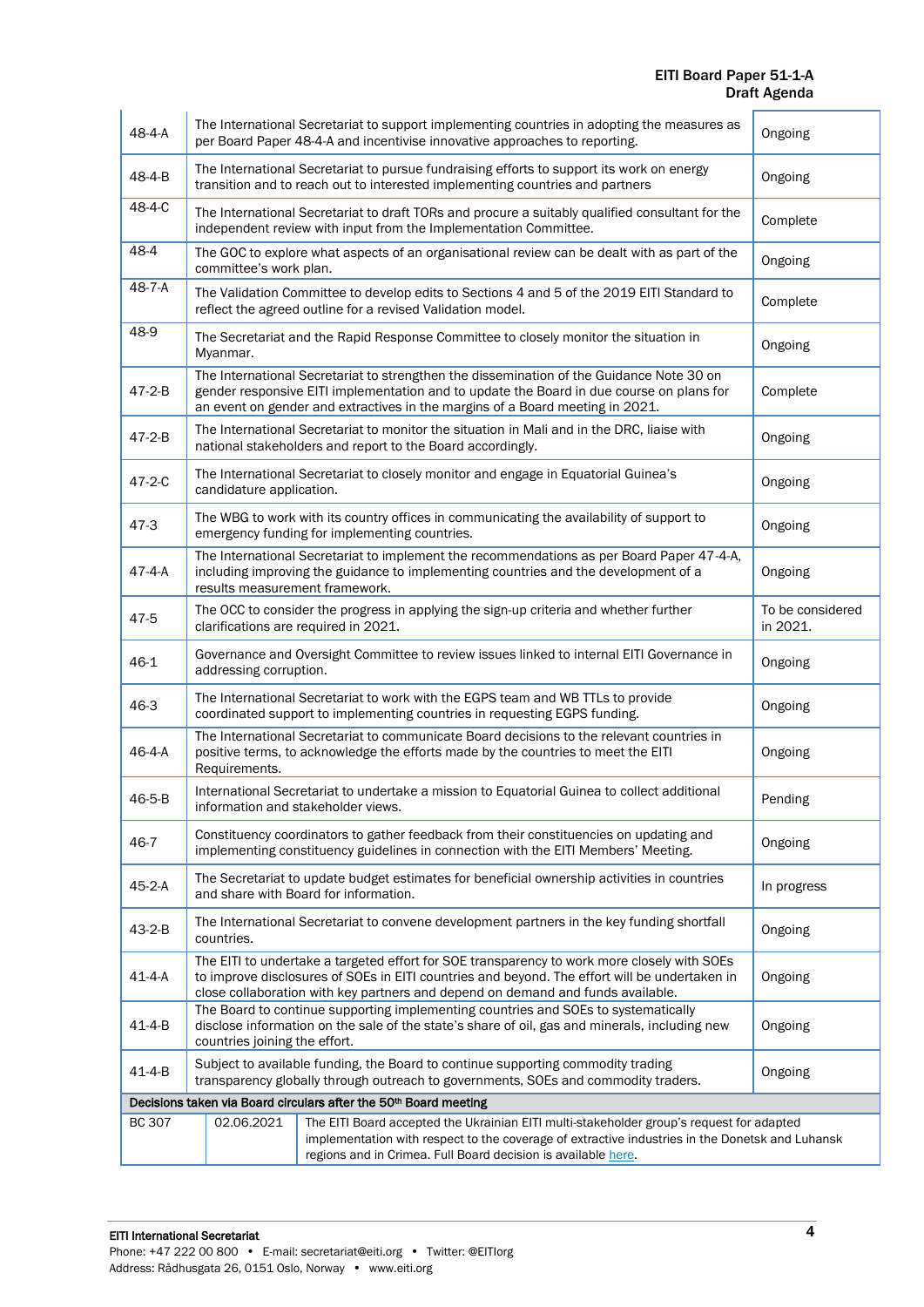EITI Board Paper 51-1-A Draft Agenda

| 48-4-A        | The International Secretariat to support implementing countries in adopting the measures as<br>Ongoing<br>per Board Paper 48-4-A and incentivise innovative approaches to reporting.                                                                                                       |          |  |  |
|---------------|--------------------------------------------------------------------------------------------------------------------------------------------------------------------------------------------------------------------------------------------------------------------------------------------|----------|--|--|
| 48-4-B        | The International Secretariat to pursue fundraising efforts to support its work on energy<br>Ongoing<br>transition and to reach out to interested implementing countries and partners                                                                                                      |          |  |  |
| 48-4-C        | The International Secretariat to draft TORs and procure a suitably qualified consultant for the<br>independent review with input from the Implementation Committee.                                                                                                                        | Complete |  |  |
| 48-4          | The GOC to explore what aspects of an organisational review can be dealt with as part of the<br>Ongoing<br>committee's work plan.                                                                                                                                                          |          |  |  |
| 48-7-A        | The Validation Committee to develop edits to Sections 4 and 5 of the 2019 EITI Standard to<br>Complete<br>reflect the agreed outline for a revised Validation model.                                                                                                                       |          |  |  |
| 48-9          | The Secretariat and the Rapid Response Committee to closely monitor the situation in<br>Ongoing<br>Myanmar.                                                                                                                                                                                |          |  |  |
| 47-2-B        | The International Secretariat to strengthen the dissemination of the Guidance Note 30 on<br>gender responsive EITI implementation and to update the Board in due course on plans for<br>Complete<br>an event on gender and extractives in the margins of a Board meeting in 2021.          |          |  |  |
| 47-2-B        | The International Secretariat to monitor the situation in Mali and in the DRC, liaise with<br>Ongoing<br>national stakeholders and report to the Board accordingly.                                                                                                                        |          |  |  |
| 47-2-C        | The International Secretariat to closely monitor and engage in Equatorial Guinea's<br>Ongoing<br>candidature application.                                                                                                                                                                  |          |  |  |
| $47 - 3$      | The WBG to work with its country offices in communicating the availability of support to<br>Ongoing<br>emergency funding for implementing countries.                                                                                                                                       |          |  |  |
| 47-4-A        | The International Secretariat to implement the recommendations as per Board Paper 47-4-A,<br>including improving the guidance to implementing countries and the development of a<br>Ongoing<br>results measurement framework.                                                              |          |  |  |
| 47-5          | The OCC to consider the progress in applying the sign-up criteria and whether further<br>To be considered<br>in 2021.<br>clarifications are required in 2021.                                                                                                                              |          |  |  |
| $46 - 1$      | Governance and Oversight Committee to review issues linked to internal EITI Governance in<br>Ongoing<br>addressing corruption.                                                                                                                                                             |          |  |  |
| 46-3          | The International Secretariat to work with the EGPS team and WB TTLs to provide<br>Ongoing<br>coordinated support to implementing countries in requesting EGPS funding.                                                                                                                    |          |  |  |
| 46-4-A        | The International Secretariat to communicate Board decisions to the relevant countries in<br>positive terms, to acknowledge the efforts made by the countries to meet the EITI<br>Ongoing<br>Requirements.                                                                                 |          |  |  |
| 46-5-B        | International Secretariat to undertake a mission to Equatorial Guinea to collect additional<br>Pending<br>information and stakeholder views.                                                                                                                                               |          |  |  |
| 46-7          | Constituency coordinators to gather feedback from their constituencies on updating and<br>Ongoing<br>implementing constituency guidelines in connection with the EITI Members' Meeting.                                                                                                    |          |  |  |
| 45-2-A        | The Secretariat to update budget estimates for beneficial ownership activities in countries<br>In progress<br>and share with Board for information.                                                                                                                                        |          |  |  |
| 43-2-B        | The International Secretariat to convene development partners in the key funding shortfall<br>Ongoing<br>countries.                                                                                                                                                                        |          |  |  |
| $41 - 4 - A$  | The EITI to undertake a targeted effort for SOE transparency to work more closely with SOEs<br>to improve disclosures of SOEs in EITI countries and beyond. The effort will be undertaken in<br>Ongoing<br>close collaboration with key partners and depend on demand and funds available. |          |  |  |
| $41 - 4 - B$  | The Board to continue supporting implementing countries and SOEs to systematically<br>disclose information on the sale of the state's share of oil, gas and minerals, including new<br>Ongoing<br>countries joining the effort.                                                            |          |  |  |
| $41 - 4 - B$  | Subject to available funding, the Board to continue supporting commodity trading<br>Ongoing<br>transparency globally through outreach to governments, SOEs and commodity traders.                                                                                                          |          |  |  |
|               | Decisions taken via Board circulars after the 50th Board meeting                                                                                                                                                                                                                           |          |  |  |
| <b>BC 307</b> | The EITI Board accepted the Ukrainian EITI multi-stakeholder group's request for adapted<br>02.06.2021<br>implementation with respect to the coverage of extractive industries in the Donetsk and Luhansk<br>regions and in Crimea. Full Board decision is available here.                 |          |  |  |